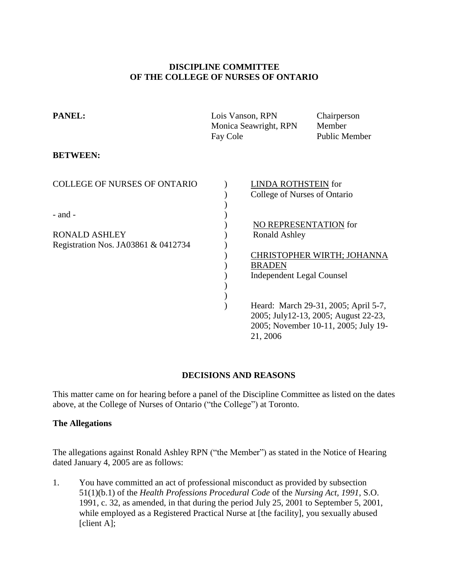### **DISCIPLINE COMMITTEE OF THE COLLEGE OF NURSES OF ONTARIO**

| PANEL:                                                      | Lois Vanson, RPN<br>Monica Seawright, RPN<br>Fay Cole                                              | Chairperson<br>Member<br><b>Public Member</b>                                                                        |  |
|-------------------------------------------------------------|----------------------------------------------------------------------------------------------------|----------------------------------------------------------------------------------------------------------------------|--|
| <b>BETWEEN:</b>                                             |                                                                                                    |                                                                                                                      |  |
| <b>COLLEGE OF NURSES OF ONTARIO</b><br>- and -              |                                                                                                    | LINDA ROTHSTEIN for<br>College of Nurses of Ontario                                                                  |  |
| <b>RONALD ASHLEY</b><br>Registration Nos. JA03861 & 0412734 | NO REPRESENTATION for<br><b>Ronald Ashley</b><br><b>BRADEN</b><br><b>Independent Legal Counsel</b> | CHRISTOPHER WIRTH; JOHANNA                                                                                           |  |
|                                                             | 21, 2006                                                                                           | Heard: March 29-31, 2005; April 5-7,<br>2005; July12-13, 2005; August 22-23,<br>2005; November 10-11, 2005; July 19- |  |

## **DECISIONS AND REASONS**

This matter came on for hearing before a panel of the Discipline Committee as listed on the dates above, at the College of Nurses of Ontario ("the College") at Toronto.

### **The Allegations**

The allegations against Ronald Ashley RPN ("the Member") as stated in the Notice of Hearing dated January 4, 2005 are as follows:

1. You have committed an act of professional misconduct as provided by subsection 51(1)(b.1) of the *Health Professions Procedural Code* of the *Nursing Act, 1991*, S.O. 1991, c. 32, as amended, in that during the period July 25, 2001 to September 5, 2001, while employed as a Registered Practical Nurse at [the facility], you sexually abused [client A];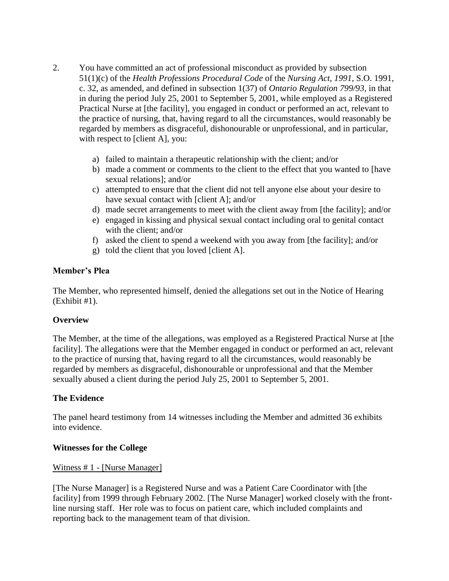- 2. You have committed an act of professional misconduct as provided by subsection 51(1)(c) of the *Health Professions Procedural Code* of the *Nursing Act, 1991*, S.O. 1991, c. 32, as amended, and defined in subsection 1(37) of *Ontario Regulation 799/93*, in that in during the period July 25, 2001 to September 5, 2001, while employed as a Registered Practical Nurse at [the facility], you engaged in conduct or performed an act, relevant to the practice of nursing, that, having regard to all the circumstances, would reasonably be regarded by members as disgraceful, dishonourable or unprofessional, and in particular, with respect to [client A], you:
	- a) failed to maintain a therapeutic relationship with the client; and/or
	- b) made a comment or comments to the client to the effect that you wanted to [have sexual relations]; and/or
	- c) attempted to ensure that the client did not tell anyone else about your desire to have sexual contact with [client A]; and/or
	- d) made secret arrangements to meet with the client away from [the facility]; and/or
	- e) engaged in kissing and physical sexual contact including oral to genital contact with the client; and/or
	- f) asked the client to spend a weekend with you away from [the facility]; and/or
	- g) told the client that you loved [client A].

### **Member's Plea**

The Member, who represented himself, denied the allegations set out in the Notice of Hearing (Exhibit #1).

#### **Overview**

The Member, at the time of the allegations, was employed as a Registered Practical Nurse at [the facility]. The allegations were that the Member engaged in conduct or performed an act, relevant to the practice of nursing that, having regard to all the circumstances, would reasonably be regarded by members as disgraceful, dishonourable or unprofessional and that the Member sexually abused a client during the period July 25, 2001 to September 5, 2001.

#### **The Evidence**

The panel heard testimony from 14 witnesses including the Member and admitted 36 exhibits into evidence.

#### **Witnesses for the College**

#### Witness # 1 - [Nurse Manager]

[The Nurse Manager] is a Registered Nurse and was a Patient Care Coordinator with [the facility] from 1999 through February 2002. [The Nurse Manager] worked closely with the frontline nursing staff. Her role was to focus on patient care, which included complaints and reporting back to the management team of that division.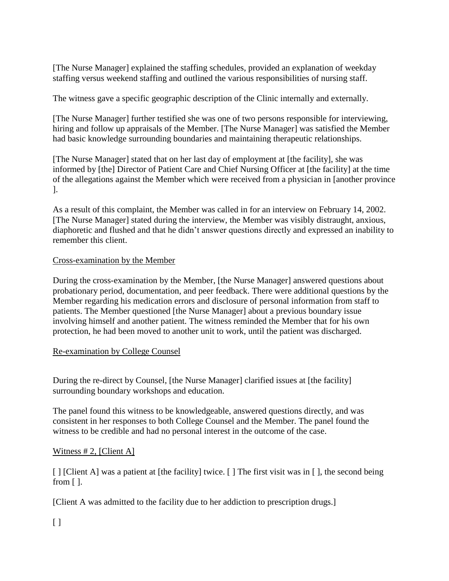[The Nurse Manager] explained the staffing schedules, provided an explanation of weekday staffing versus weekend staffing and outlined the various responsibilities of nursing staff.

The witness gave a specific geographic description of the Clinic internally and externally.

[The Nurse Manager] further testified she was one of two persons responsible for interviewing, hiring and follow up appraisals of the Member. [The Nurse Manager] was satisfied the Member had basic knowledge surrounding boundaries and maintaining therapeutic relationships.

[The Nurse Manager] stated that on her last day of employment at [the facility], she was informed by [the] Director of Patient Care and Chief Nursing Officer at [the facility] at the time of the allegations against the Member which were received from a physician in [another province ].

As a result of this complaint, the Member was called in for an interview on February 14, 2002. [The Nurse Manager] stated during the interview, the Member was visibly distraught, anxious, diaphoretic and flushed and that he didn't answer questions directly and expressed an inability to remember this client.

# Cross-examination by the Member

During the cross-examination by the Member, [the Nurse Manager] answered questions about probationary period, documentation, and peer feedback. There were additional questions by the Member regarding his medication errors and disclosure of personal information from staff to patients. The Member questioned [the Nurse Manager] about a previous boundary issue involving himself and another patient. The witness reminded the Member that for his own protection, he had been moved to another unit to work, until the patient was discharged.

## Re-examination by College Counsel

During the re-direct by Counsel, [the Nurse Manager] clarified issues at [the facility] surrounding boundary workshops and education.

The panel found this witness to be knowledgeable, answered questions directly, and was consistent in her responses to both College Counsel and the Member. The panel found the witness to be credible and had no personal interest in the outcome of the case.

## Witness  $# 2$ , [Client A]

[ ] [Client A] was a patient at [the facility] twice. [ ] The first visit was in [ ], the second being from [ ].

[Client A was admitted to the facility due to her addiction to prescription drugs.]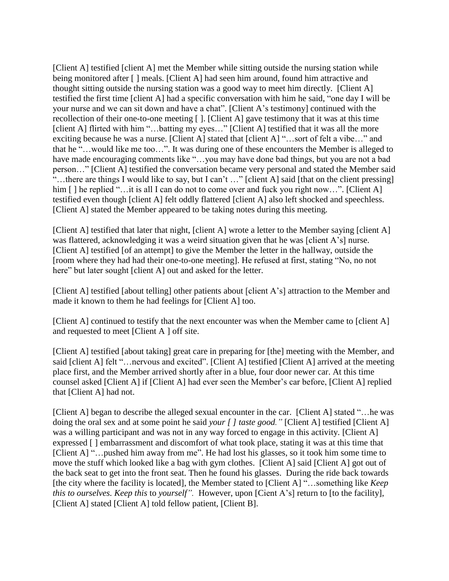[Client A] testified [client A] met the Member while sitting outside the nursing station while being monitored after [] meals. [Client A] had seen him around, found him attractive and thought sitting outside the nursing station was a good way to meet him directly. [Client A] testified the first time [client A] had a specific conversation with him he said, "one day I will be your nurse and we can sit down and have a chat". [Client A's testimony] continued with the recollection of their one-to-one meeting [ ]. [Client A] gave testimony that it was at this time [client A] flirted with him "...batting my eyes..." [Client A] testified that it was all the more exciting because he was a nurse. [Client A] stated that [client A] "…sort of felt a vibe…" and that he "…would like me too…". It was during one of these encounters the Member is alleged to have made encouraging comments like "...you may have done bad things, but you are not a bad person…" [Client A] testified the conversation became very personal and stated the Member said "...there are things I would like to say, but I can't ..." [client A] said [that on the client pressing] him [] he replied "…it is all I can do not to come over and fuck you right now…". [Client A] testified even though [client A] felt oddly flattered [client A] also left shocked and speechless. [Client A] stated the Member appeared to be taking notes during this meeting.

[Client A] testified that later that night, [client A] wrote a letter to the Member saying [client A] was flattered, acknowledging it was a weird situation given that he was [client A's] nurse. [Client A] testified [of an attempt] to give the Member the letter in the hallway, outside the [room where they had had their one-to-one meeting]. He refused at first, stating "No, no not here" but later sought [client A] out and asked for the letter.

[Client A] testified [about telling] other patients about [client A's] attraction to the Member and made it known to them he had feelings for [Client A] too.

[Client A] continued to testify that the next encounter was when the Member came to [client A] and requested to meet [Client A ] off site.

[Client A] testified [about taking] great care in preparing for [the] meeting with the Member, and said [client A] felt "…nervous and excited". [Client A] testified [Client A] arrived at the meeting place first, and the Member arrived shortly after in a blue, four door newer car. At this time counsel asked [Client A] if [Client A] had ever seen the Member's car before, [Client A] replied that [Client A] had not.

[Client A] began to describe the alleged sexual encounter in the car. [Client A] stated "... he was doing the oral sex and at some point he said *your [ ] taste good."* [Client A] testified [Client A] was a willing participant and was not in any way forced to engage in this activity. [Client A] expressed [ ] embarrassment and discomfort of what took place, stating it was at this time that [Client A] "...pushed him away from me". He had lost his glasses, so it took him some time to move the stuff which looked like a bag with gym clothes. [Client A] said [Client A] got out of the back seat to get into the front seat. Then he found his glasses. During the ride back towards [the city where the facility is located], the Member stated to [Client A] "…something like *Keep this to ourselves. Keep this* to *yourself".* However, upon [Cient A's] return to [to the facility], [Client A] stated [Client A] told fellow patient, [Client B].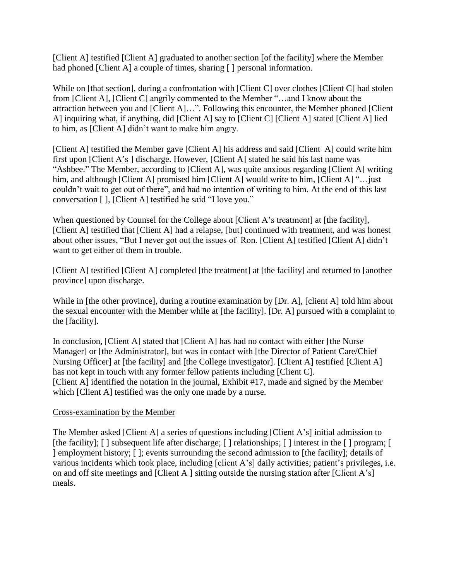[Client A] testified [Client A] graduated to another section [of the facility] where the Member had phoned [Client A] a couple of times, sharing [ ] personal information.

While on [that section], during a confrontation with [Client C] over clothes [Client C] had stolen from [Client A], [Client C] angrily commented to the Member "…and I know about the attraction between you and [Client A]…". Following this encounter, the Member phoned [Client A] inquiring what, if anything, did [Client A] say to [Client C] [Client A] stated [Client A] lied to him, as [Client A] didn't want to make him angry.

[Client A] testified the Member gave [Client A] his address and said [Client A] could write him first upon [Client A's ] discharge. However, [Client A] stated he said his last name was "Ashbee." The Member, according to [Client A], was quite anxious regarding [Client A] writing him, and although [Client A] promised him [Client A] would write to him, [Client A] "…just couldn't wait to get out of there", and had no intention of writing to him. At the end of this last conversation [ ], [Client A] testified he said "I love you."

When questioned by Counsel for the College about [Client A's treatment] at [the facility], [Client A] testified that [Client A] had a relapse, [but] continued with treatment, and was honest about other issues, "But I never got out the issues of Ron. [Client A] testified [Client A] didn't want to get either of them in trouble.

[Client A] testified [Client A] completed [the treatment] at [the facility] and returned to [another province] upon discharge.

While in [the other province], during a routine examination by [Dr. A], [client A] told him about the sexual encounter with the Member while at [the facility]. [Dr. A] pursued with a complaint to the [facility].

In conclusion, [Client A] stated that [Client A] has had no contact with either [the Nurse Manager] or [the Administrator], but was in contact with [the Director of Patient Care/Chief Nursing Officer] at [the facility] and [the College investigator]. [Client A] testified [Client A] has not kept in touch with any former fellow patients including [Client C]. [Client A] identified the notation in the journal, Exhibit #17, made and signed by the Member which [Client A] testified was the only one made by a nurse.

## Cross-examination by the Member

The Member asked [Client A] a series of questions including [Client A's] initial admission to [the facility]; [] subsequent life after discharge; [] relationships; [] interest in the [] program; [] ] employment history; [ ]; events surrounding the second admission to [the facility]; details of various incidents which took place, including [client A's] daily activities; patient's privileges, i.e. on and off site meetings and [Client A ] sitting outside the nursing station after [Client A's] meals.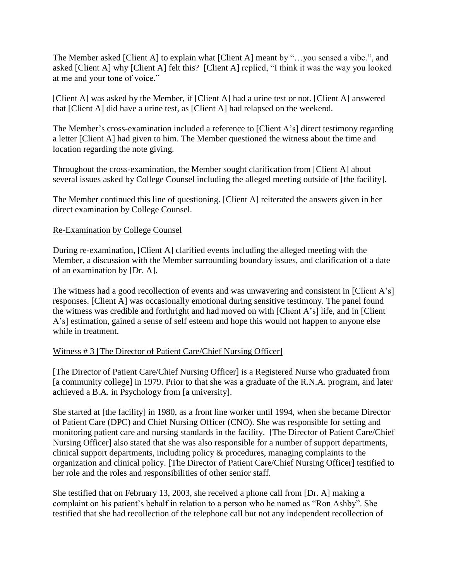The Member asked [Client A] to explain what [Client A] meant by "...you sensed a vibe.", and asked [Client A] why [Client A] felt this? [Client A] replied, "I think it was the way you looked at me and your tone of voice."

[Client A] was asked by the Member, if [Client A] had a urine test or not. [Client A] answered that [Client A] did have a urine test, as [Client A] had relapsed on the weekend.

The Member's cross-examination included a reference to [Client A's] direct testimony regarding a letter [Client A] had given to him. The Member questioned the witness about the time and location regarding the note giving.

Throughout the cross-examination, the Member sought clarification from [Client A] about several issues asked by College Counsel including the alleged meeting outside of [the facility].

The Member continued this line of questioning. [Client A] reiterated the answers given in her direct examination by College Counsel.

## Re-Examination by College Counsel

During re-examination, [Client A] clarified events including the alleged meeting with the Member, a discussion with the Member surrounding boundary issues, and clarification of a date of an examination by [Dr. A].

The witness had a good recollection of events and was unwavering and consistent in [Client A's] responses. [Client A] was occasionally emotional during sensitive testimony. The panel found the witness was credible and forthright and had moved on with [Client A's] life, and in [Client A's] estimation, gained a sense of self esteem and hope this would not happen to anyone else while in treatment.

## Witness # 3 [The Director of Patient Care/Chief Nursing Officer]

[The Director of Patient Care/Chief Nursing Officer] is a Registered Nurse who graduated from [a community college] in 1979. Prior to that she was a graduate of the R.N.A. program, and later achieved a B.A. in Psychology from [a university].

She started at [the facility] in 1980, as a front line worker until 1994, when she became Director of Patient Care (DPC) and Chief Nursing Officer (CNO). She was responsible for setting and monitoring patient care and nursing standards in the facility. [The Director of Patient Care/Chief Nursing Officer] also stated that she was also responsible for a number of support departments, clinical support departments, including policy & procedures, managing complaints to the organization and clinical policy. [The Director of Patient Care/Chief Nursing Officer] testified to her role and the roles and responsibilities of other senior staff.

She testified that on February 13, 2003, she received a phone call from [Dr. A] making a complaint on his patient's behalf in relation to a person who he named as "Ron Ashby". She testified that she had recollection of the telephone call but not any independent recollection of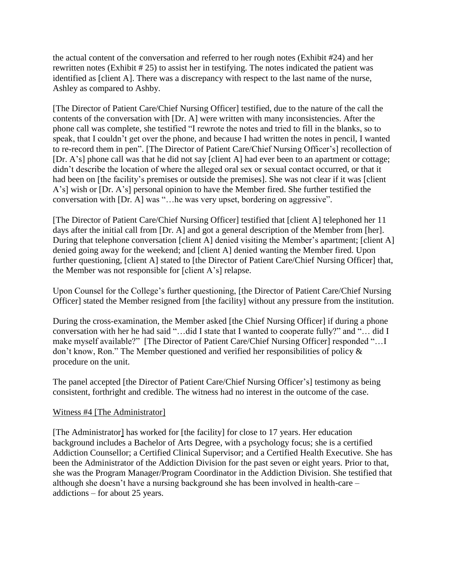the actual content of the conversation and referred to her rough notes (Exhibit #24) and her rewritten notes (Exhibit # 25) to assist her in testifying. The notes indicated the patient was identified as [client A]. There was a discrepancy with respect to the last name of the nurse, Ashley as compared to Ashby.

[The Director of Patient Care/Chief Nursing Officer] testified, due to the nature of the call the contents of the conversation with [Dr. A] were written with many inconsistencies. After the phone call was complete, she testified "I rewrote the notes and tried to fill in the blanks, so to speak, that I couldn't get over the phone, and because I had written the notes in pencil, I wanted to re-record them in pen". [The Director of Patient Care/Chief Nursing Officer's] recollection of [Dr. A's] phone call was that he did not say [client A] had ever been to an apartment or cottage; didn't describe the location of where the alleged oral sex or sexual contact occurred, or that it had been on [the facility's premises or outside the premises]. She was not clear if it was [client A's] wish or [Dr. A's] personal opinion to have the Member fired. She further testified the conversation with [Dr. A] was "…he was very upset, bordering on aggressive".

[The Director of Patient Care/Chief Nursing Officer] testified that [client A] telephoned her 11 days after the initial call from [Dr. A] and got a general description of the Member from [her]. During that telephone conversation [client A] denied visiting the Member's apartment; [client A] denied going away for the weekend; and [client A] denied wanting the Member fired. Upon further questioning, [client A] stated to [the Director of Patient Care/Chief Nursing Officer] that, the Member was not responsible for [client A's] relapse.

Upon Counsel for the College's further questioning, [the Director of Patient Care/Chief Nursing Officer] stated the Member resigned from [the facility] without any pressure from the institution.

During the cross-examination, the Member asked [the Chief Nursing Officer] if during a phone conversation with her he had said "…did I state that I wanted to cooperate fully?" and "… did I make myself available?" [The Director of Patient Care/Chief Nursing Officer] responded "…I don't know, Ron." The Member questioned and verified her responsibilities of policy & procedure on the unit.

The panel accepted [the Director of Patient Care/Chief Nursing Officer's] testimony as being consistent, forthright and credible. The witness had no interest in the outcome of the case.

#### Witness #4 [The Administrator]

[The Administrator] has worked for [the facility] for close to 17 years. Her education background includes a Bachelor of Arts Degree, with a psychology focus; she is a certified Addiction Counsellor; a Certified Clinical Supervisor; and a Certified Health Executive. She has been the Administrator of the Addiction Division for the past seven or eight years. Prior to that, she was the Program Manager/Program Coordinator in the Addiction Division. She testified that although she doesn't have a nursing background she has been involved in health-care – addictions – for about 25 years.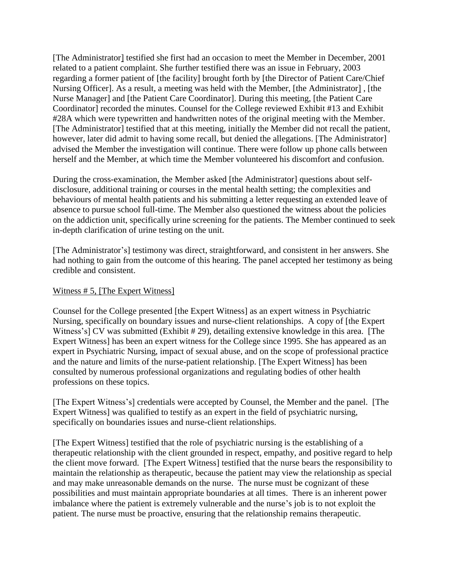[The Administrator] testified she first had an occasion to meet the Member in December, 2001 related to a patient complaint. She further testified there was an issue in February, 2003 regarding a former patient of [the facility] brought forth by [the Director of Patient Care/Chief Nursing Officer]. As a result, a meeting was held with the Member, [the Administrator] , [the Nurse Manager] and [the Patient Care Coordinator]. During this meeting, [the Patient Care Coordinator] recorded the minutes. Counsel for the College reviewed Exhibit #13 and Exhibit #28A which were typewritten and handwritten notes of the original meeting with the Member. [The Administrator] testified that at this meeting, initially the Member did not recall the patient, however, later did admit to having some recall, but denied the allegations. [The Administrator] advised the Member the investigation will continue. There were follow up phone calls between herself and the Member, at which time the Member volunteered his discomfort and confusion.

During the cross-examination, the Member asked [the Administrator] questions about selfdisclosure, additional training or courses in the mental health setting; the complexities and behaviours of mental health patients and his submitting a letter requesting an extended leave of absence to pursue school full-time. The Member also questioned the witness about the policies on the addiction unit, specifically urine screening for the patients. The Member continued to seek in-depth clarification of urine testing on the unit.

[The Administrator's] testimony was direct, straightforward, and consistent in her answers. She had nothing to gain from the outcome of this hearing. The panel accepted her testimony as being credible and consistent.

#### Witness # 5, [The Expert Witness]

Counsel for the College presented [the Expert Witness] as an expert witness in Psychiatric Nursing, specifically on boundary issues and nurse-client relationships. A copy of [the Expert Witness's] CV was submitted (Exhibit # 29), detailing extensive knowledge in this area. [The Expert Witness] has been an expert witness for the College since 1995. She has appeared as an expert in Psychiatric Nursing, impact of sexual abuse, and on the scope of professional practice and the nature and limits of the nurse-patient relationship. [The Expert Witness] has been consulted by numerous professional organizations and regulating bodies of other health professions on these topics.

[The Expert Witness's] credentials were accepted by Counsel, the Member and the panel. [The Expert Witness] was qualified to testify as an expert in the field of psychiatric nursing, specifically on boundaries issues and nurse-client relationships.

[The Expert Witness] testified that the role of psychiatric nursing is the establishing of a therapeutic relationship with the client grounded in respect, empathy, and positive regard to help the client move forward. [The Expert Witness] testified that the nurse bears the responsibility to maintain the relationship as therapeutic, because the patient may view the relationship as special and may make unreasonable demands on the nurse. The nurse must be cognizant of these possibilities and must maintain appropriate boundaries at all times. There is an inherent power imbalance where the patient is extremely vulnerable and the nurse's job is to not exploit the patient. The nurse must be proactive, ensuring that the relationship remains therapeutic.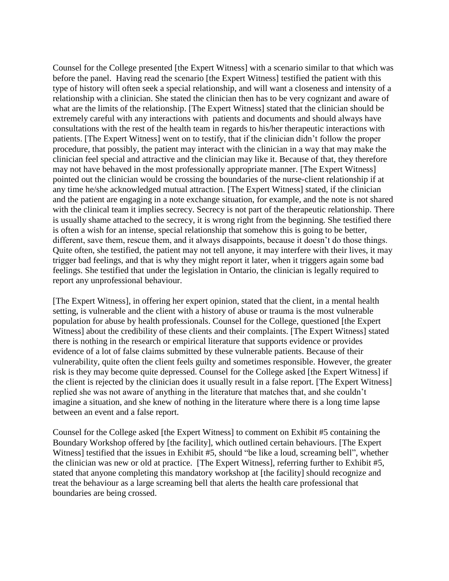Counsel for the College presented [the Expert Witness] with a scenario similar to that which was before the panel. Having read the scenario [the Expert Witness] testified the patient with this type of history will often seek a special relationship, and will want a closeness and intensity of a relationship with a clinician. She stated the clinician then has to be very cognizant and aware of what are the limits of the relationship. [The Expert Witness] stated that the clinician should be extremely careful with any interactions with patients and documents and should always have consultations with the rest of the health team in regards to his/her therapeutic interactions with patients. [The Expert Witness] went on to testify, that if the clinician didn't follow the proper procedure, that possibly, the patient may interact with the clinician in a way that may make the clinician feel special and attractive and the clinician may like it. Because of that, they therefore may not have behaved in the most professionally appropriate manner. [The Expert Witness] pointed out the clinician would be crossing the boundaries of the nurse-client relationship if at any time he/she acknowledged mutual attraction. [The Expert Witness] stated, if the clinician and the patient are engaging in a note exchange situation, for example, and the note is not shared with the clinical team it implies secrecy. Secrecy is not part of the therapeutic relationship. There is usually shame attached to the secrecy, it is wrong right from the beginning. She testified there is often a wish for an intense, special relationship that somehow this is going to be better, different, save them, rescue them, and it always disappoints, because it doesn't do those things. Quite often, she testified, the patient may not tell anyone, it may interfere with their lives, it may trigger bad feelings, and that is why they might report it later, when it triggers again some bad feelings. She testified that under the legislation in Ontario, the clinician is legally required to report any unprofessional behaviour.

[The Expert Witness], in offering her expert opinion, stated that the client, in a mental health setting, is vulnerable and the client with a history of abuse or trauma is the most vulnerable population for abuse by health professionals. Counsel for the College, questioned [the Expert Witness] about the credibility of these clients and their complaints. [The Expert Witness] stated there is nothing in the research or empirical literature that supports evidence or provides evidence of a lot of false claims submitted by these vulnerable patients. Because of their vulnerability, quite often the client feels guilty and sometimes responsible. However, the greater risk is they may become quite depressed. Counsel for the College asked [the Expert Witness] if the client is rejected by the clinician does it usually result in a false report. [The Expert Witness] replied she was not aware of anything in the literature that matches that, and she couldn't imagine a situation, and she knew of nothing in the literature where there is a long time lapse between an event and a false report.

Counsel for the College asked [the Expert Witness] to comment on Exhibit #5 containing the Boundary Workshop offered by [the facility], which outlined certain behaviours. [The Expert Witness] testified that the issues in Exhibit #5, should "be like a loud, screaming bell", whether the clinician was new or old at practice. [The Expert Witness], referring further to Exhibit #5, stated that anyone completing this mandatory workshop at [the facility] should recognize and treat the behaviour as a large screaming bell that alerts the health care professional that boundaries are being crossed.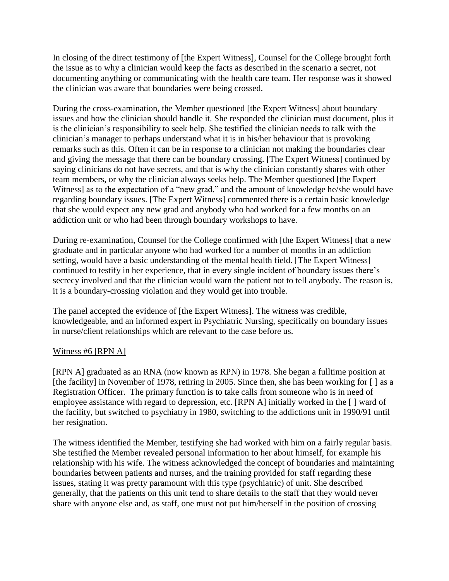In closing of the direct testimony of [the Expert Witness], Counsel for the College brought forth the issue as to why a clinician would keep the facts as described in the scenario a secret, not documenting anything or communicating with the health care team. Her response was it showed the clinician was aware that boundaries were being crossed.

During the cross-examination, the Member questioned [the Expert Witness] about boundary issues and how the clinician should handle it. She responded the clinician must document, plus it is the clinician's responsibility to seek help. She testified the clinician needs to talk with the clinician's manager to perhaps understand what it is in his/her behaviour that is provoking remarks such as this. Often it can be in response to a clinician not making the boundaries clear and giving the message that there can be boundary crossing. [The Expert Witness] continued by saying clinicians do not have secrets, and that is why the clinician constantly shares with other team members, or why the clinician always seeks help. The Member questioned [the Expert Witness] as to the expectation of a "new grad." and the amount of knowledge he/she would have regarding boundary issues. [The Expert Witness] commented there is a certain basic knowledge that she would expect any new grad and anybody who had worked for a few months on an addiction unit or who had been through boundary workshops to have.

During re-examination, Counsel for the College confirmed with [the Expert Witness] that a new graduate and in particular anyone who had worked for a number of months in an addiction setting, would have a basic understanding of the mental health field. [The Expert Witness] continued to testify in her experience, that in every single incident of boundary issues there's secrecy involved and that the clinician would warn the patient not to tell anybody. The reason is, it is a boundary-crossing violation and they would get into trouble.

The panel accepted the evidence of [the Expert Witness]. The witness was credible, knowledgeable, and an informed expert in Psychiatric Nursing, specifically on boundary issues in nurse/client relationships which are relevant to the case before us.

#### Witness #6 [RPN A]

[RPN A] graduated as an RNA (now known as RPN) in 1978. She began a fulltime position at [the facility] in November of 1978, retiring in 2005. Since then, she has been working for  $\lceil \cdot \rceil$  as a Registration Officer. The primary function is to take calls from someone who is in need of employee assistance with regard to depression, etc. [RPN A] initially worked in the [ ] ward of the facility, but switched to psychiatry in 1980, switching to the addictions unit in 1990/91 until her resignation.

The witness identified the Member, testifying she had worked with him on a fairly regular basis. She testified the Member revealed personal information to her about himself, for example his relationship with his wife. The witness acknowledged the concept of boundaries and maintaining boundaries between patients and nurses, and the training provided for staff regarding these issues, stating it was pretty paramount with this type (psychiatric) of unit. She described generally, that the patients on this unit tend to share details to the staff that they would never share with anyone else and, as staff, one must not put him/herself in the position of crossing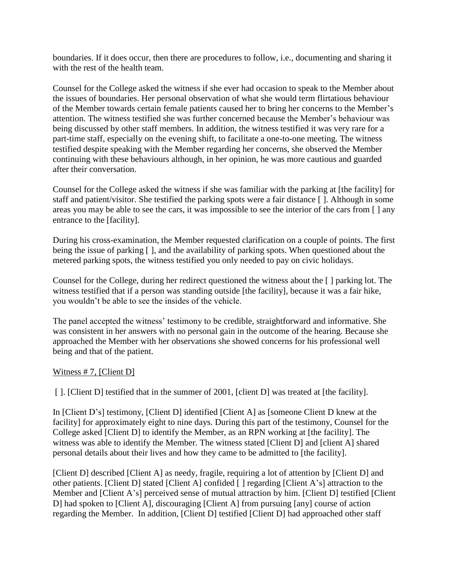boundaries. If it does occur, then there are procedures to follow, i.e., documenting and sharing it with the rest of the health team.

Counsel for the College asked the witness if she ever had occasion to speak to the Member about the issues of boundaries. Her personal observation of what she would term flirtatious behaviour of the Member towards certain female patients caused her to bring her concerns to the Member's attention. The witness testified she was further concerned because the Member's behaviour was being discussed by other staff members. In addition, the witness testified it was very rare for a part-time staff, especially on the evening shift, to facilitate a one-to-one meeting. The witness testified despite speaking with the Member regarding her concerns, she observed the Member continuing with these behaviours although, in her opinion, he was more cautious and guarded after their conversation.

Counsel for the College asked the witness if she was familiar with the parking at [the facility] for staff and patient/visitor. She testified the parking spots were a fair distance [ ]. Although in some areas you may be able to see the cars, it was impossible to see the interior of the cars from [ ] any entrance to the [facility].

During his cross-examination, the Member requested clarification on a couple of points. The first being the issue of parking [ ], and the availability of parking spots. When questioned about the metered parking spots, the witness testified you only needed to pay on civic holidays.

Counsel for the College, during her redirect questioned the witness about the [ ] parking lot. The witness testified that if a person was standing outside [the facility], because it was a fair hike, you wouldn't be able to see the insides of the vehicle.

The panel accepted the witness' testimony to be credible, straightforward and informative. She was consistent in her answers with no personal gain in the outcome of the hearing. Because she approached the Member with her observations she showed concerns for his professional well being and that of the patient.

## Witness #7, [Client D]

[ ]. [Client D] testified that in the summer of 2001, [client D] was treated at [the facility].

In [Client D's] testimony, [Client D] identified [Client A] as [someone Client D knew at the facility] for approximately eight to nine days. During this part of the testimony, Counsel for the College asked [Client D] to identify the Member, as an RPN working at [the facility]. The witness was able to identify the Member. The witness stated [Client D] and [client A] shared personal details about their lives and how they came to be admitted to [the facility].

[Client D] described [Client A] as needy, fragile, requiring a lot of attention by [Client D] and other patients. [Client D] stated [Client A] confided [ ] regarding [Client A's] attraction to the Member and [Client A's] perceived sense of mutual attraction by him. [Client D] testified [Client D] had spoken to [Client A], discouraging [Client A] from pursuing [any] course of action regarding the Member. In addition, [Client D] testified [Client D] had approached other staff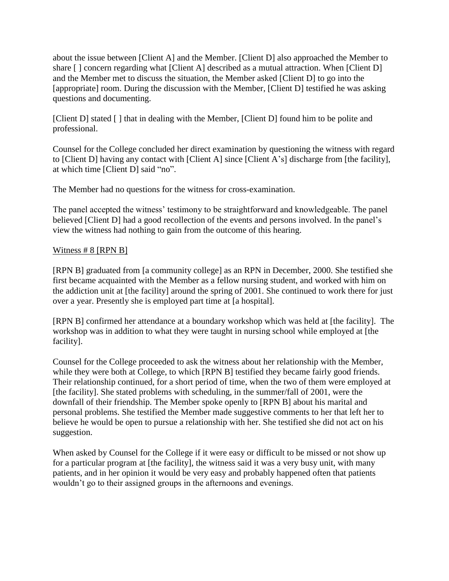about the issue between [Client A] and the Member. [Client D] also approached the Member to share [] concern regarding what [Client A] described as a mutual attraction. When [Client D] and the Member met to discuss the situation, the Member asked [Client D] to go into the [appropriate] room. During the discussion with the Member, [Client D] testified he was asking questions and documenting.

[Client D] stated [] that in dealing with the Member, [Client D] found him to be polite and professional.

Counsel for the College concluded her direct examination by questioning the witness with regard to [Client D] having any contact with [Client A] since [Client A's] discharge from [the facility], at which time [Client D] said "no".

The Member had no questions for the witness for cross-examination.

The panel accepted the witness' testimony to be straightforward and knowledgeable. The panel believed [Client D] had a good recollection of the events and persons involved. In the panel's view the witness had nothing to gain from the outcome of this hearing.

### Witness  $# 8$  [RPN B]

[RPN B] graduated from [a community college] as an RPN in December, 2000. She testified she first became acquainted with the Member as a fellow nursing student, and worked with him on the addiction unit at [the facility] around the spring of 2001. She continued to work there for just over a year. Presently she is employed part time at [a hospital].

[RPN B] confirmed her attendance at a boundary workshop which was held at [the facility]. The workshop was in addition to what they were taught in nursing school while employed at [the facility].

Counsel for the College proceeded to ask the witness about her relationship with the Member, while they were both at College, to which [RPN B] testified they became fairly good friends. Their relationship continued, for a short period of time, when the two of them were employed at [the facility]. She stated problems with scheduling, in the summer/fall of 2001, were the downfall of their friendship. The Member spoke openly to [RPN B] about his marital and personal problems. She testified the Member made suggestive comments to her that left her to believe he would be open to pursue a relationship with her. She testified she did not act on his suggestion.

When asked by Counsel for the College if it were easy or difficult to be missed or not show up for a particular program at [the facility], the witness said it was a very busy unit, with many patients, and in her opinion it would be very easy and probably happened often that patients wouldn't go to their assigned groups in the afternoons and evenings.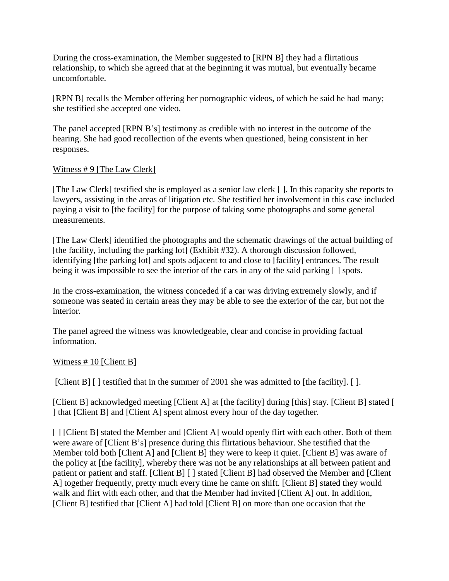During the cross-examination, the Member suggested to [RPN B] they had a flirtatious relationship, to which she agreed that at the beginning it was mutual, but eventually became uncomfortable.

[RPN B] recalls the Member offering her pornographic videos, of which he said he had many; she testified she accepted one video.

The panel accepted [RPN B's] testimony as credible with no interest in the outcome of the hearing. She had good recollection of the events when questioned, being consistent in her responses.

### Witness # 9 [The Law Clerk]

[The Law Clerk] testified she is employed as a senior law clerk [ ]. In this capacity she reports to lawyers, assisting in the areas of litigation etc. She testified her involvement in this case included paying a visit to [the facility] for the purpose of taking some photographs and some general measurements.

[The Law Clerk] identified the photographs and the schematic drawings of the actual building of [the facility, including the parking lot] (Exhibit #32). A thorough discussion followed, identifying [the parking lot] and spots adjacent to and close to [facility] entrances. The result being it was impossible to see the interior of the cars in any of the said parking [ ] spots.

In the cross-examination, the witness conceded if a car was driving extremely slowly, and if someone was seated in certain areas they may be able to see the exterior of the car, but not the interior.

The panel agreed the witness was knowledgeable, clear and concise in providing factual information.

## Witness #10 [Client B]

[Client B] [] testified that in the summer of 2001 she was admitted to [the facility]. [].

[Client B] acknowledged meeting [Client A] at [the facility] during [this] stay. [Client B] stated [1] ] that [Client B] and [Client A] spent almost every hour of the day together.

[] [Client B] stated the Member and [Client A] would openly flirt with each other. Both of them were aware of [Client B's] presence during this flirtatious behaviour. She testified that the Member told both [Client A] and [Client B] they were to keep it quiet. [Client B] was aware of the policy at [the facility], whereby there was not be any relationships at all between patient and patient or patient and staff. [Client B] [ ] stated [Client B] had observed the Member and [Client A] together frequently, pretty much every time he came on shift. [Client B] stated they would walk and flirt with each other, and that the Member had invited [Client A] out. In addition, [Client B] testified that [Client A] had told [Client B] on more than one occasion that the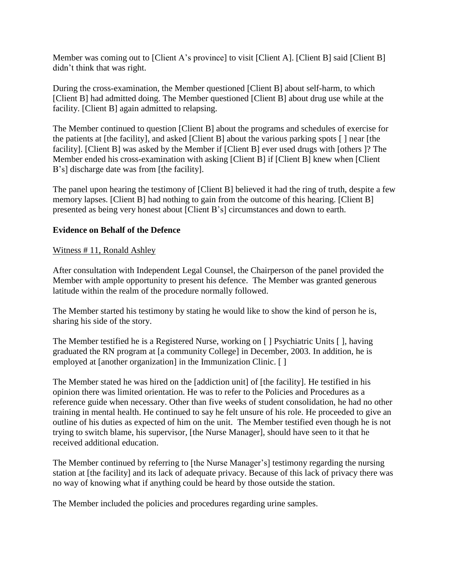Member was coming out to [Client A's province] to visit [Client A]. [Client B] said [Client B] didn't think that was right.

During the cross-examination, the Member questioned [Client B] about self-harm, to which [Client B] had admitted doing. The Member questioned [Client B] about drug use while at the facility. [Client B] again admitted to relapsing.

The Member continued to question [Client B] about the programs and schedules of exercise for the patients at [the facility], and asked [Client B] about the various parking spots [ ] near [the facility]. [Client B] was asked by the Member if [Client B] ever used drugs with [others ]? The Member ended his cross-examination with asking [Client B] if [Client B] knew when [Client B's] discharge date was from [the facility].

The panel upon hearing the testimony of [Client B] believed it had the ring of truth, despite a few memory lapses. [Client B] had nothing to gain from the outcome of this hearing. [Client B] presented as being very honest about [Client B's] circumstances and down to earth.

## **Evidence on Behalf of the Defence**

## Witness # 11, Ronald Ashley

After consultation with Independent Legal Counsel, the Chairperson of the panel provided the Member with ample opportunity to present his defence. The Member was granted generous latitude within the realm of the procedure normally followed.

The Member started his testimony by stating he would like to show the kind of person he is, sharing his side of the story.

The Member testified he is a Registered Nurse, working on [ ] Psychiatric Units [ ], having graduated the RN program at [a community College] in December, 2003. In addition, he is employed at [another organization] in the Immunization Clinic. [ ]

The Member stated he was hired on the [addiction unit] of [the facility]. He testified in his opinion there was limited orientation. He was to refer to the Policies and Procedures as a reference guide when necessary. Other than five weeks of student consolidation, he had no other training in mental health. He continued to say he felt unsure of his role. He proceeded to give an outline of his duties as expected of him on the unit. The Member testified even though he is not trying to switch blame, his supervisor, [the Nurse Manager], should have seen to it that he received additional education.

The Member continued by referring to [the Nurse Manager's] testimony regarding the nursing station at [the facility] and its lack of adequate privacy. Because of this lack of privacy there was no way of knowing what if anything could be heard by those outside the station.

The Member included the policies and procedures regarding urine samples.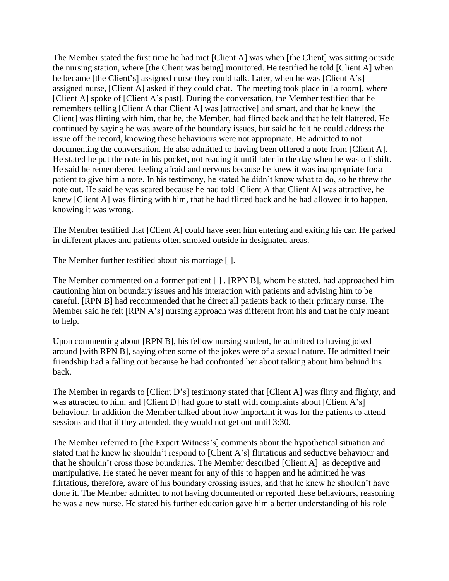The Member stated the first time he had met [Client A] was when [the Client] was sitting outside the nursing station, where [the Client was being] monitored. He testified he told [Client A] when he became [the Client's] assigned nurse they could talk. Later, when he was [Client A's] assigned nurse, [Client A] asked if they could chat. The meeting took place in [a room], where [Client A] spoke of [Client A's past]. During the conversation, the Member testified that he remembers telling [Client A that Client A] was [attractive] and smart, and that he knew [the Client] was flirting with him, that he, the Member, had flirted back and that he felt flattered. He continued by saying he was aware of the boundary issues, but said he felt he could address the issue off the record, knowing these behaviours were not appropriate. He admitted to not documenting the conversation. He also admitted to having been offered a note from [Client A]. He stated he put the note in his pocket, not reading it until later in the day when he was off shift. He said he remembered feeling afraid and nervous because he knew it was inappropriate for a patient to give him a note. In his testimony, he stated he didn't know what to do, so he threw the note out. He said he was scared because he had told [Client A that Client A] was attractive, he knew [Client A] was flirting with him, that he had flirted back and he had allowed it to happen, knowing it was wrong.

The Member testified that [Client A] could have seen him entering and exiting his car. He parked in different places and patients often smoked outside in designated areas.

The Member further testified about his marriage [ ].

The Member commented on a former patient [ ] . [RPN B], whom he stated, had approached him cautioning him on boundary issues and his interaction with patients and advising him to be careful. [RPN B] had recommended that he direct all patients back to their primary nurse. The Member said he felt [RPN A's] nursing approach was different from his and that he only meant to help.

Upon commenting about [RPN B], his fellow nursing student, he admitted to having joked around [with RPN B], saying often some of the jokes were of a sexual nature. He admitted their friendship had a falling out because he had confronted her about talking about him behind his back.

The Member in regards to [Client D's] testimony stated that [Client A] was flirty and flighty, and was attracted to him, and [Client D] had gone to staff with complaints about [Client A's] behaviour. In addition the Member talked about how important it was for the patients to attend sessions and that if they attended, they would not get out until 3:30.

The Member referred to [the Expert Witness's] comments about the hypothetical situation and stated that he knew he shouldn't respond to [Client A's] flirtatious and seductive behaviour and that he shouldn't cross those boundaries. The Member described [Client A] as deceptive and manipulative. He stated he never meant for any of this to happen and he admitted he was flirtatious, therefore, aware of his boundary crossing issues, and that he knew he shouldn't have done it. The Member admitted to not having documented or reported these behaviours, reasoning he was a new nurse. He stated his further education gave him a better understanding of his role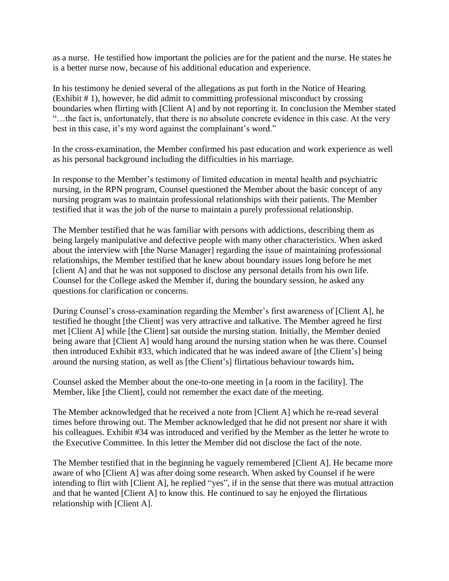as a nurse. He testified how important the policies are for the patient and the nurse. He states he is a better nurse now, because of his additional education and experience.

In his testimony he denied several of the allegations as put forth in the Notice of Hearing (Exhibit # 1), however, he did admit to committing professional misconduct by crossing boundaries when flirting with [Client A] and by not reporting it. In conclusion the Member stated "…the fact is, unfortunately, that there is no absolute concrete evidence in this case. At the very best in this case, it's my word against the complainant's word."

In the cross-examination, the Member confirmed his past education and work experience as well as his personal background including the difficulties in his marriage.

In response to the Member's testimony of limited education in mental health and psychiatric nursing, in the RPN program, Counsel questioned the Member about the basic concept of any nursing program was to maintain professional relationships with their patients. The Member testified that it was the job of the nurse to maintain a purely professional relationship.

The Member testified that he was familiar with persons with addictions, describing them as being largely manipulative and defective people with many other characteristics. When asked about the interview with [the Nurse Manager] regarding the issue of maintaining professional relationships, the Member testified that he knew about boundary issues long before he met [client A] and that he was not supposed to disclose any personal details from his own life. Counsel for the College asked the Member if, during the boundary session, he asked any questions for clarification or concerns.

During Counsel's cross-examination regarding the Member's first awareness of [Client A], he testified he thought [the Client] was very attractive and talkative. The Member agreed he first met [Client A] while [the Client] sat outside the nursing station. Initially, the Member denied being aware that [Client A] would hang around the nursing station when he was there. Counsel then introduced Exhibit #33, which indicated that he was indeed aware of [the Client's] being around the nursing station, as well as [the Client's] flirtatious behaviour towards him**.**

Counsel asked the Member about the one-to-one meeting in [a room in the facility]. The Member, like [the Client], could not remember the exact date of the meeting.

The Member acknowledged that he received a note from [Client A] which he re-read several times before throwing out. The Member acknowledged that he did not present nor share it with his colleagues. Exhibit #34 was introduced and verified by the Member as the letter he wrote to the Executive Committee. In this letter the Member did not disclose the fact of the note.

The Member testified that in the beginning he vaguely remembered [Client A]. He became more aware of who [Client A] was after doing some research. When asked by Counsel if he were intending to flirt with [Client A], he replied "yes", if in the sense that there was mutual attraction and that he wanted [Client A] to know this. He continued to say he enjoyed the flirtatious relationship with [Client A].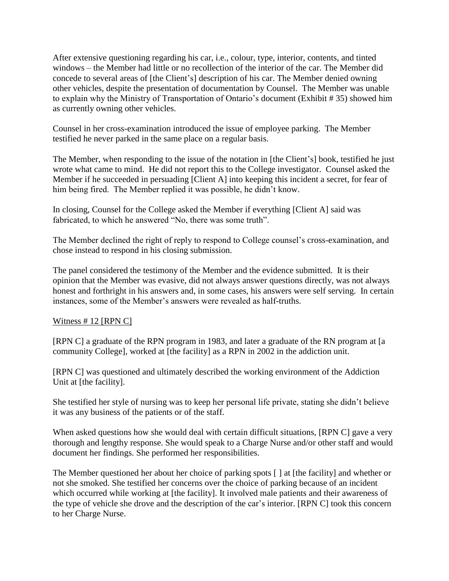After extensive questioning regarding his car, i.e., colour, type, interior, contents, and tinted windows – the Member had little or no recollection of the interior of the car. The Member did concede to several areas of [the Client's] description of his car. The Member denied owning other vehicles, despite the presentation of documentation by Counsel. The Member was unable to explain why the Ministry of Transportation of Ontario's document (Exhibit # 35) showed him as currently owning other vehicles.

Counsel in her cross-examination introduced the issue of employee parking. The Member testified he never parked in the same place on a regular basis.

The Member, when responding to the issue of the notation in [the Client's] book, testified he just wrote what came to mind. He did not report this to the College investigator. Counsel asked the Member if he succeeded in persuading [Client A] into keeping this incident a secret, for fear of him being fired. The Member replied it was possible, he didn't know.

In closing, Counsel for the College asked the Member if everything [Client A] said was fabricated, to which he answered "No, there was some truth".

The Member declined the right of reply to respond to College counsel's cross-examination, and chose instead to respond in his closing submission.

The panel considered the testimony of the Member and the evidence submitted. It is their opinion that the Member was evasive, did not always answer questions directly, was not always honest and forthright in his answers and, in some cases, his answers were self serving. In certain instances, some of the Member's answers were revealed as half-truths.

## Witness  $# 12$  [RPN C]

[RPN C] a graduate of the RPN program in 1983, and later a graduate of the RN program at [a community College], worked at [the facility] as a RPN in 2002 in the addiction unit.

[RPN C] was questioned and ultimately described the working environment of the Addiction Unit at [the facility].

She testified her style of nursing was to keep her personal life private, stating she didn't believe it was any business of the patients or of the staff.

When asked questions how she would deal with certain difficult situations, [RPN C] gave a very thorough and lengthy response. She would speak to a Charge Nurse and/or other staff and would document her findings. She performed her responsibilities.

The Member questioned her about her choice of parking spots [ ] at [the facility] and whether or not she smoked. She testified her concerns over the choice of parking because of an incident which occurred while working at [the facility]. It involved male patients and their awareness of the type of vehicle she drove and the description of the car's interior. [RPN C] took this concern to her Charge Nurse.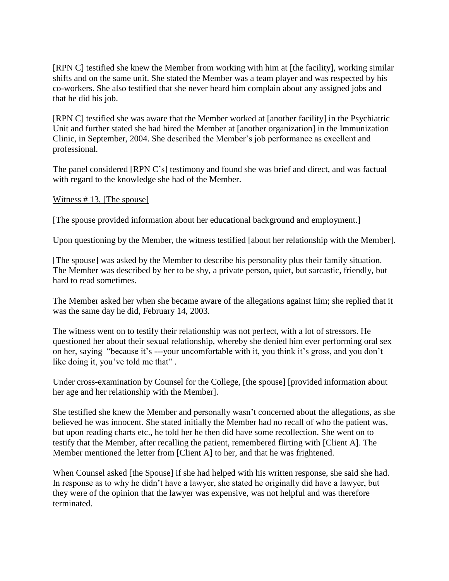[RPN C] testified she knew the Member from working with him at [the facility], working similar shifts and on the same unit. She stated the Member was a team player and was respected by his co-workers. She also testified that she never heard him complain about any assigned jobs and that he did his job.

[RPN C] testified she was aware that the Member worked at [another facility] in the Psychiatric Unit and further stated she had hired the Member at [another organization] in the Immunization Clinic, in September, 2004. She described the Member's job performance as excellent and professional.

The panel considered [RPN C's] testimony and found she was brief and direct, and was factual with regard to the knowledge she had of the Member.

### Witness # 13, [The spouse]

[The spouse provided information about her educational background and employment.]

Upon questioning by the Member, the witness testified [about her relationship with the Member].

[The spouse] was asked by the Member to describe his personality plus their family situation. The Member was described by her to be shy, a private person, quiet, but sarcastic, friendly, but hard to read sometimes.

The Member asked her when she became aware of the allegations against him; she replied that it was the same day he did, February 14, 2003.

The witness went on to testify their relationship was not perfect, with a lot of stressors. He questioned her about their sexual relationship, whereby she denied him ever performing oral sex on her, saying "because it's ---your uncomfortable with it, you think it's gross, and you don't like doing it, you've told me that" .

Under cross-examination by Counsel for the College, [the spouse] [provided information about her age and her relationship with the Member].

She testified she knew the Member and personally wasn't concerned about the allegations, as she believed he was innocent. She stated initially the Member had no recall of who the patient was, but upon reading charts etc., he told her he then did have some recollection. She went on to testify that the Member, after recalling the patient, remembered flirting with [Client A]. The Member mentioned the letter from [Client A] to her, and that he was frightened.

When Counsel asked [the Spouse] if she had helped with his written response, she said she had. In response as to why he didn't have a lawyer, she stated he originally did have a lawyer, but they were of the opinion that the lawyer was expensive, was not helpful and was therefore terminated.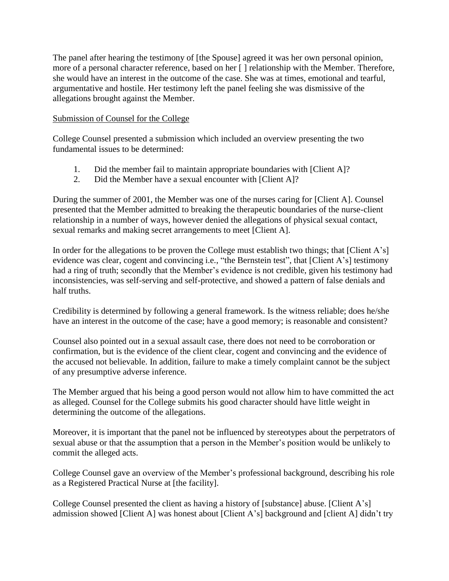The panel after hearing the testimony of [the Spouse] agreed it was her own personal opinion, more of a personal character reference, based on her [ ] relationship with the Member. Therefore, she would have an interest in the outcome of the case. She was at times, emotional and tearful, argumentative and hostile. Her testimony left the panel feeling she was dismissive of the allegations brought against the Member.

### Submission of Counsel for the College

College Counsel presented a submission which included an overview presenting the two fundamental issues to be determined:

- 1. Did the member fail to maintain appropriate boundaries with [Client A]?
- 2. Did the Member have a sexual encounter with [Client A]?

During the summer of 2001, the Member was one of the nurses caring for [Client A]. Counsel presented that the Member admitted to breaking the therapeutic boundaries of the nurse-client relationship in a number of ways, however denied the allegations of physical sexual contact, sexual remarks and making secret arrangements to meet [Client A].

In order for the allegations to be proven the College must establish two things; that [Client A's] evidence was clear, cogent and convincing i.e., "the Bernstein test", that [Client A's] testimony had a ring of truth; secondly that the Member's evidence is not credible, given his testimony had inconsistencies, was self-serving and self-protective, and showed a pattern of false denials and half truths.

Credibility is determined by following a general framework. Is the witness reliable; does he/she have an interest in the outcome of the case; have a good memory; is reasonable and consistent?

Counsel also pointed out in a sexual assault case, there does not need to be corroboration or confirmation, but is the evidence of the client clear, cogent and convincing and the evidence of the accused not believable. In addition, failure to make a timely complaint cannot be the subject of any presumptive adverse inference.

The Member argued that his being a good person would not allow him to have committed the act as alleged. Counsel for the College submits his good character should have little weight in determining the outcome of the allegations.

Moreover, it is important that the panel not be influenced by stereotypes about the perpetrators of sexual abuse or that the assumption that a person in the Member's position would be unlikely to commit the alleged acts.

College Counsel gave an overview of the Member's professional background, describing his role as a Registered Practical Nurse at [the facility].

College Counsel presented the client as having a history of [substance] abuse. [Client A's] admission showed [Client A] was honest about [Client A's] background and [client A] didn't try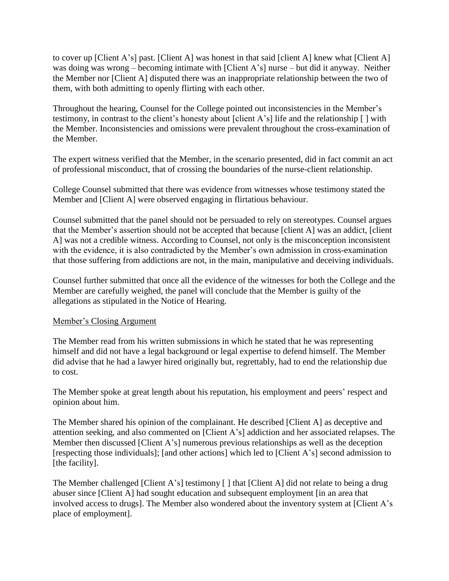to cover up [Client A's] past. [Client A] was honest in that said [client A] knew what [Client A] was doing was wrong – becoming intimate with [Client A's] nurse – but did it anyway. Neither the Member nor [Client A] disputed there was an inappropriate relationship between the two of them, with both admitting to openly flirting with each other.

Throughout the hearing, Counsel for the College pointed out inconsistencies in the Member's testimony, in contrast to the client's honesty about [client A's] life and the relationship [ ] with the Member. Inconsistencies and omissions were prevalent throughout the cross-examination of the Member.

The expert witness verified that the Member, in the scenario presented, did in fact commit an act of professional misconduct, that of crossing the boundaries of the nurse-client relationship.

College Counsel submitted that there was evidence from witnesses whose testimony stated the Member and [Client A] were observed engaging in flirtatious behaviour.

Counsel submitted that the panel should not be persuaded to rely on stereotypes. Counsel argues that the Member's assertion should not be accepted that because [client A] was an addict, [client A] was not a credible witness. According to Counsel, not only is the misconception inconsistent with the evidence, it is also contradicted by the Member's own admission in cross-examination that those suffering from addictions are not, in the main, manipulative and deceiving individuals.

Counsel further submitted that once all the evidence of the witnesses for both the College and the Member are carefully weighed, the panel will conclude that the Member is guilty of the allegations as stipulated in the Notice of Hearing.

#### Member's Closing Argument

The Member read from his written submissions in which he stated that he was representing himself and did not have a legal background or legal expertise to defend himself. The Member did advise that he had a lawyer hired originally but, regrettably, had to end the relationship due to cost.

The Member spoke at great length about his reputation, his employment and peers' respect and opinion about him.

The Member shared his opinion of the complainant. He described [Client A] as deceptive and attention seeking, and also commented on [Client A's] addiction and her associated relapses. The Member then discussed [Client A's] numerous previous relationships as well as the deception [respecting those individuals]; [and other actions] which led to [Client A's] second admission to [the facility].

The Member challenged [Client A's] testimony [] that [Client A] did not relate to being a drug abuser since [Client A] had sought education and subsequent employment [in an area that involved access to drugs]. The Member also wondered about the inventory system at [Client A's place of employment].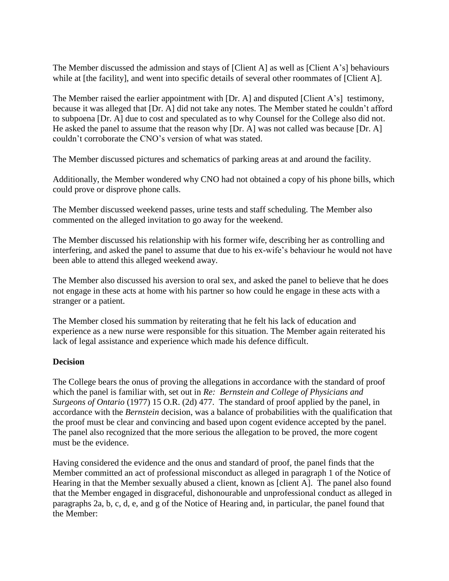The Member discussed the admission and stays of [Client A] as well as [Client A's] behaviours while at [the facility], and went into specific details of several other roommates of [Client A].

The Member raised the earlier appointment with [Dr. A] and disputed [Client A's] testimony, because it was alleged that [Dr. A] did not take any notes. The Member stated he couldn't afford to subpoena [Dr. A] due to cost and speculated as to why Counsel for the College also did not. He asked the panel to assume that the reason why [Dr. A] was not called was because [Dr. A] couldn't corroborate the CNO's version of what was stated.

The Member discussed pictures and schematics of parking areas at and around the facility.

Additionally, the Member wondered why CNO had not obtained a copy of his phone bills, which could prove or disprove phone calls.

The Member discussed weekend passes, urine tests and staff scheduling. The Member also commented on the alleged invitation to go away for the weekend.

The Member discussed his relationship with his former wife, describing her as controlling and interfering, and asked the panel to assume that due to his ex-wife's behaviour he would not have been able to attend this alleged weekend away.

The Member also discussed his aversion to oral sex, and asked the panel to believe that he does not engage in these acts at home with his partner so how could he engage in these acts with a stranger or a patient.

The Member closed his summation by reiterating that he felt his lack of education and experience as a new nurse were responsible for this situation. The Member again reiterated his lack of legal assistance and experience which made his defence difficult.

#### **Decision**

The College bears the onus of proving the allegations in accordance with the standard of proof which the panel is familiar with, set out in *Re: Bernstein and College of Physicians and Surgeons of Ontario* (1977) 15 O.R. (2d) 477. The standard of proof applied by the panel, in accordance with the *Bernstein* decision, was a balance of probabilities with the qualification that the proof must be clear and convincing and based upon cogent evidence accepted by the panel. The panel also recognized that the more serious the allegation to be proved, the more cogent must be the evidence.

Having considered the evidence and the onus and standard of proof, the panel finds that the Member committed an act of professional misconduct as alleged in paragraph 1 of the Notice of Hearing in that the Member sexually abused a client, known as [client A]. The panel also found that the Member engaged in disgraceful, dishonourable and unprofessional conduct as alleged in paragraphs 2a, b, c, d, e, and g of the Notice of Hearing and, in particular, the panel found that the Member: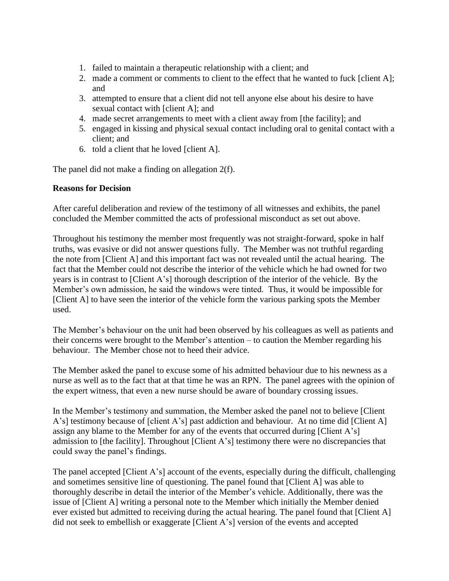- 1. failed to maintain a therapeutic relationship with a client; and
- 2. made a comment or comments to client to the effect that he wanted to fuck [client A]; and
- 3. attempted to ensure that a client did not tell anyone else about his desire to have sexual contact with [client A]; and
- 4. made secret arrangements to meet with a client away from [the facility]; and
- 5. engaged in kissing and physical sexual contact including oral to genital contact with a client; and
- 6. told a client that he loved [client A].

The panel did not make a finding on allegation 2(f).

## **Reasons for Decision**

After careful deliberation and review of the testimony of all witnesses and exhibits, the panel concluded the Member committed the acts of professional misconduct as set out above.

Throughout his testimony the member most frequently was not straight-forward, spoke in half truths, was evasive or did not answer questions fully. The Member was not truthful regarding the note from [Client A] and this important fact was not revealed until the actual hearing. The fact that the Member could not describe the interior of the vehicle which he had owned for two years is in contrast to [Client A's] thorough description of the interior of the vehicle. By the Member's own admission, he said the windows were tinted. Thus, it would be impossible for [Client A] to have seen the interior of the vehicle form the various parking spots the Member used.

The Member's behaviour on the unit had been observed by his colleagues as well as patients and their concerns were brought to the Member's attention – to caution the Member regarding his behaviour. The Member chose not to heed their advice.

The Member asked the panel to excuse some of his admitted behaviour due to his newness as a nurse as well as to the fact that at that time he was an RPN. The panel agrees with the opinion of the expert witness, that even a new nurse should be aware of boundary crossing issues.

In the Member's testimony and summation, the Member asked the panel not to believe [Client A's] testimony because of [client A's] past addiction and behaviour. At no time did [Client A] assign any blame to the Member for any of the events that occurred during [Client A's] admission to [the facility]. Throughout [Client A's] testimony there were no discrepancies that could sway the panel's findings.

The panel accepted [Client A's] account of the events, especially during the difficult, challenging and sometimes sensitive line of questioning. The panel found that [Client A] was able to thoroughly describe in detail the interior of the Member's vehicle. Additionally, there was the issue of [Client A] writing a personal note to the Member which initially the Member denied ever existed but admitted to receiving during the actual hearing. The panel found that [Client A] did not seek to embellish or exaggerate [Client A's] version of the events and accepted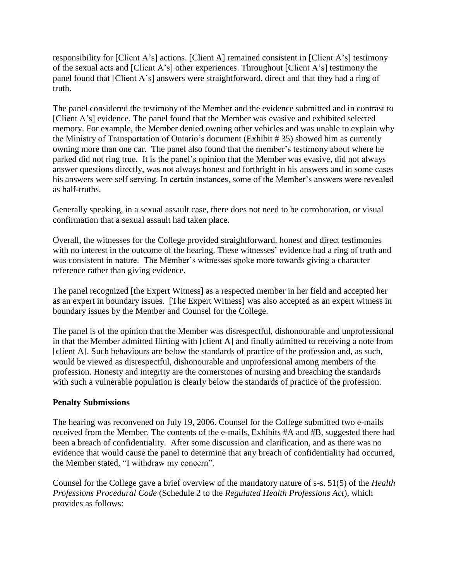responsibility for [Client A's] actions. [Client A] remained consistent in [Client A's] testimony of the sexual acts and [Client A's] other experiences. Throughout [Client A's] testimony the panel found that [Client A's] answers were straightforward, direct and that they had a ring of truth.

The panel considered the testimony of the Member and the evidence submitted and in contrast to [Client A's] evidence. The panel found that the Member was evasive and exhibited selected memory. For example, the Member denied owning other vehicles and was unable to explain why the Ministry of Transportation of Ontario's document (Exhibit # 35) showed him as currently owning more than one car. The panel also found that the member's testimony about where he parked did not ring true. It is the panel's opinion that the Member was evasive, did not always answer questions directly, was not always honest and forthright in his answers and in some cases his answers were self serving. In certain instances, some of the Member's answers were revealed as half-truths.

Generally speaking, in a sexual assault case, there does not need to be corroboration, or visual confirmation that a sexual assault had taken place.

Overall, the witnesses for the College provided straightforward, honest and direct testimonies with no interest in the outcome of the hearing. These witnesses' evidence had a ring of truth and was consistent in nature. The Member's witnesses spoke more towards giving a character reference rather than giving evidence.

The panel recognized [the Expert Witness] as a respected member in her field and accepted her as an expert in boundary issues. [The Expert Witness] was also accepted as an expert witness in boundary issues by the Member and Counsel for the College.

The panel is of the opinion that the Member was disrespectful, dishonourable and unprofessional in that the Member admitted flirting with [client A] and finally admitted to receiving a note from [client A]. Such behaviours are below the standards of practice of the profession and, as such, would be viewed as disrespectful, dishonourable and unprofessional among members of the profession. Honesty and integrity are the cornerstones of nursing and breaching the standards with such a vulnerable population is clearly below the standards of practice of the profession.

#### **Penalty Submissions**

The hearing was reconvened on July 19, 2006. Counsel for the College submitted two e-mails received from the Member. The contents of the e-mails, Exhibits #A and #B, suggested there had been a breach of confidentiality. After some discussion and clarification, and as there was no evidence that would cause the panel to determine that any breach of confidentiality had occurred, the Member stated, "I withdraw my concern".

Counsel for the College gave a brief overview of the mandatory nature of s-s. 51(5) of the *Health Professions Procedural Code* (Schedule 2 to the *Regulated Health Professions Act*), which provides as follows: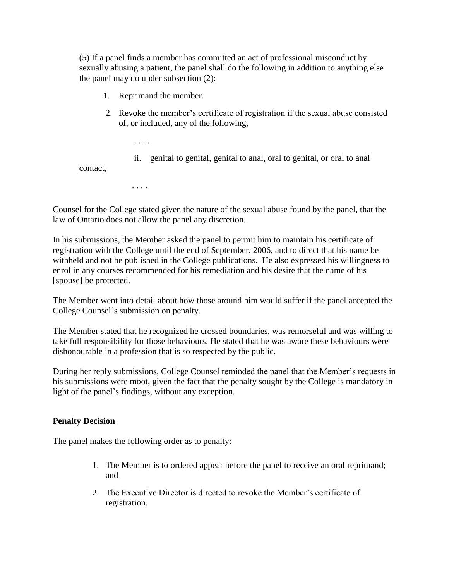(5) If a panel finds a member has committed an act of professional misconduct by sexually abusing a patient, the panel shall do the following in addition to anything else the panel may do under subsection (2):

1. Reprimand the member.

. . . .

. . . .

- 2. Revoke the member's certificate of registration if the sexual abuse consisted of, or included, any of the following,
	- ii. genital to genital, genital to anal, oral to genital, or oral to anal

contact,

Counsel for the College stated given the nature of the sexual abuse found by the panel, that the law of Ontario does not allow the panel any discretion.

In his submissions, the Member asked the panel to permit him to maintain his certificate of registration with the College until the end of September, 2006, and to direct that his name be withheld and not be published in the College publications. He also expressed his willingness to enrol in any courses recommended for his remediation and his desire that the name of his [spouse] be protected.

The Member went into detail about how those around him would suffer if the panel accepted the College Counsel's submission on penalty.

The Member stated that he recognized he crossed boundaries, was remorseful and was willing to take full responsibility for those behaviours. He stated that he was aware these behaviours were dishonourable in a profession that is so respected by the public.

During her reply submissions, College Counsel reminded the panel that the Member's requests in his submissions were moot, given the fact that the penalty sought by the College is mandatory in light of the panel's findings, without any exception.

#### **Penalty Decision**

The panel makes the following order as to penalty:

- 1. The Member is to ordered appear before the panel to receive an oral reprimand; and
- 2. The Executive Director is directed to revoke the Member's certificate of registration.